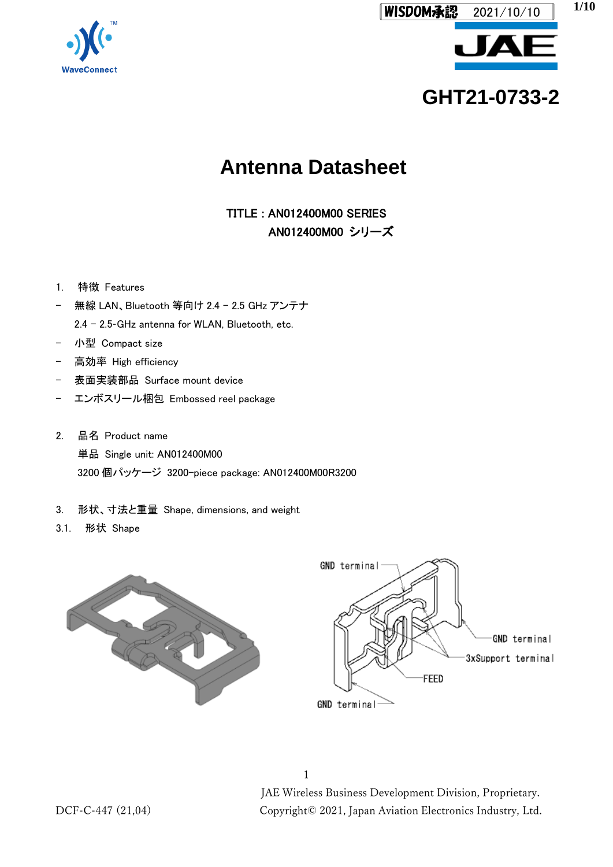

# **GHT21-0733-2**

## **Antenna Datasheet**

TITLE : AN012400M00 SERIES AN012400M00 シリーズ

- 1. 特徴 Features
- 無線 LAN、Bluetooth 等向け 2.4 2.5 GHz アンテナ 2.4 - 2.5-GHz antenna for WLAN, Bluetooth, etc.
- 小型 Compact size
- 高効率 High efficiency
- 表面実装部品 Surface mount device
- エンボスリール梱包 Embossed reel package
- 2. 品名 Product name 単品 Single unit: AN012400M00 3200 個パッケージ 3200-piece package: AN012400M00R3200
- 3. 形状、寸法と重量 Shape, dimensions, and weight
- 3.1. 形状 Shape





1 JAE Wireless Business Development Division, Proprietary. DCF-C-447 (21,04) Copyright© 2021, Japan Aviation Electronics Industry, Ltd.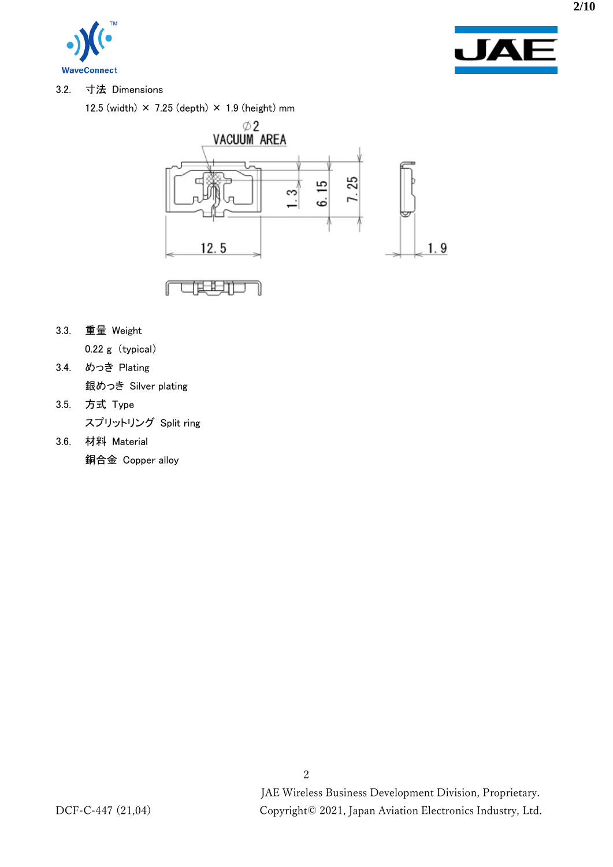



3.2. 寸法 Dimensions

12.5 (width)  $\times$  7.25 (depth)  $\times$  1.9 (height) mm



3.3. 重量 Weight

0.22 g (typical)

- 3.4. めっき Plating 銀めっき Silver plating
- 3.5. 方式 Type スプリットリング Split ring
- 3.6. 材料 Material 銅合金 Copper alloy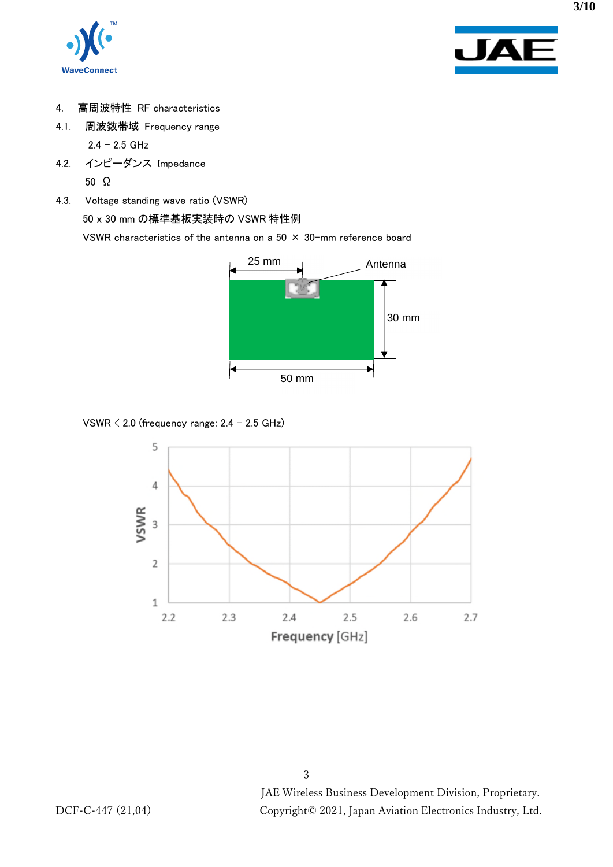



- 4. 高周波特性 RF characteristics
- 4.1. 周波数帯域 Frequency range

 $2.4 - 2.5$  GHz

- 4.2. インピーダンス Impedance 50 Ω
- 4.3. Voltage standing wave ratio (VSWR)

50 x 30 mm の標準基板実装時の VSWR 特性例

VSWR characteristics of the antenna on a 50  $\times$  30-mm reference board



VSWR  $\leq$  2.0 (frequency range: 2.4 – 2.5 GHz)

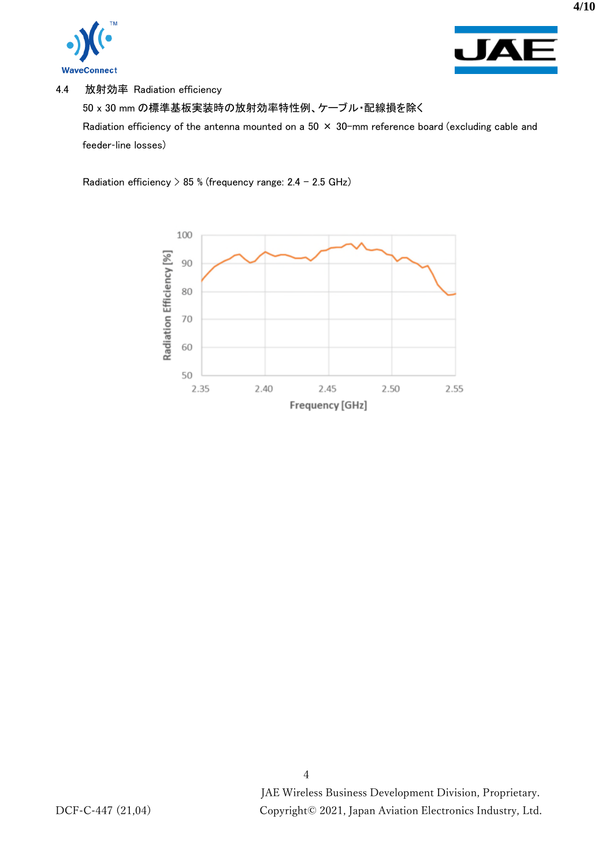



4.4 放射効率 Radiation efficiency

50 x 30 mm の標準基板実装時の放射効率特性例、ケーブル・配線損を除く

Radiation efficiency of the antenna mounted on a 50  $\times$  30-mm reference board (excluding cable and feeder-line losses)

Radiation efficiency > 85 % (frequency range: 2.4 - 2.5 GHz)

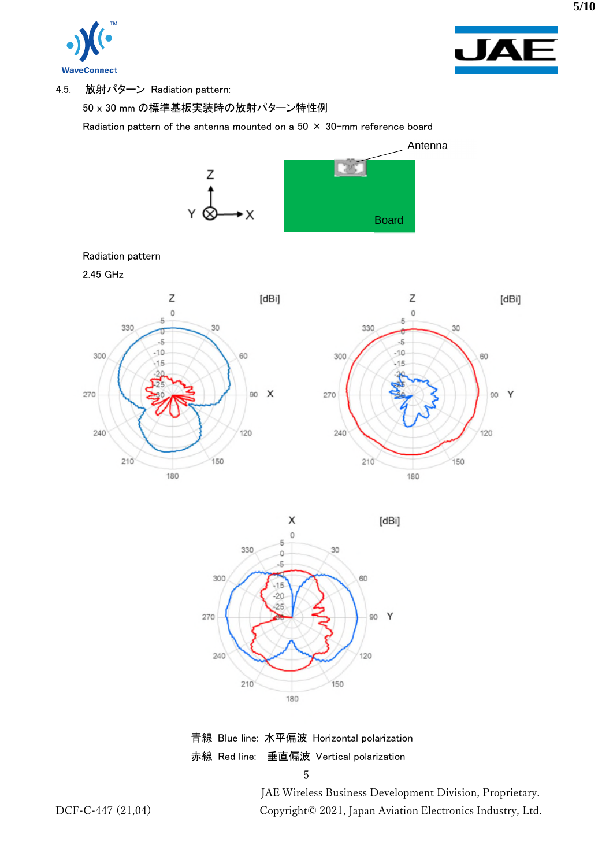



4.5. 放射パターン Radiation pattern:

50 x 30 mm の標準基板実装時の放射パターン特性例

Radiation pattern of the antenna mounted on a  $50 \times 30$ -mm reference board



#### Radiation pattern

2.45 GHz





青線 Blue line: 水平偏波 Horizontal polarization 赤線 Red line: 垂直偏波 Vertical polarization

5

JAE Wireless Business Development Division, Proprietary. DCF-C-447 (21,04) Copyright© 2021, Japan Aviation Electronics Industry, Ltd.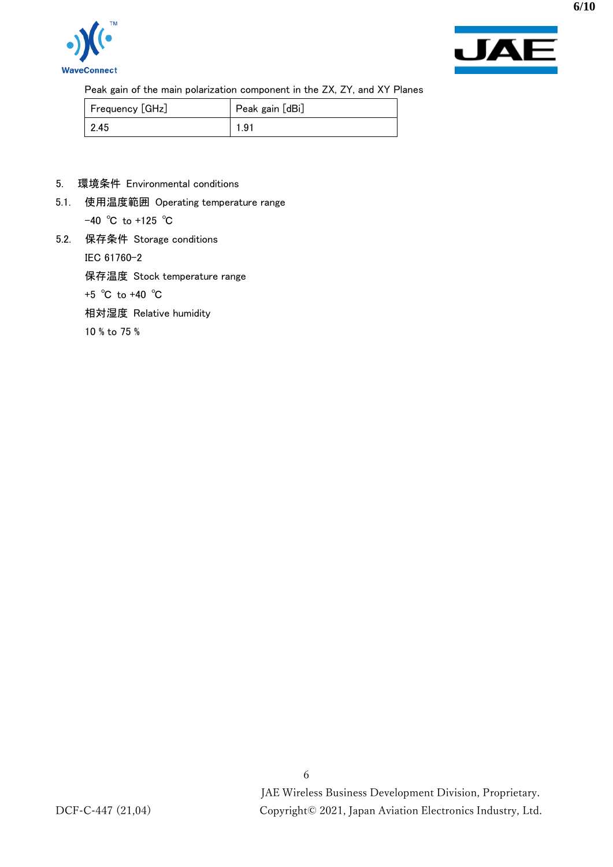



Peak gain of the main polarization component in the ZX, ZY, and XY Planes

| Frequency [GHz] | Peak gain [dBi] |
|-----------------|-----------------|
| $\mid$ 2.45     | 1.91            |

- 5. 環境条件 Environmental conditions
- 5.1. 使用温度範囲 Operating temperature range -40 ℃ to +125 ℃
- 5.2. 保存条件 Storage conditions

IEC 61760-2

保存温度 Stock temperature range

+5 ℃ to +40 ℃

相対湿度 Relative humidity

10 % to 75 %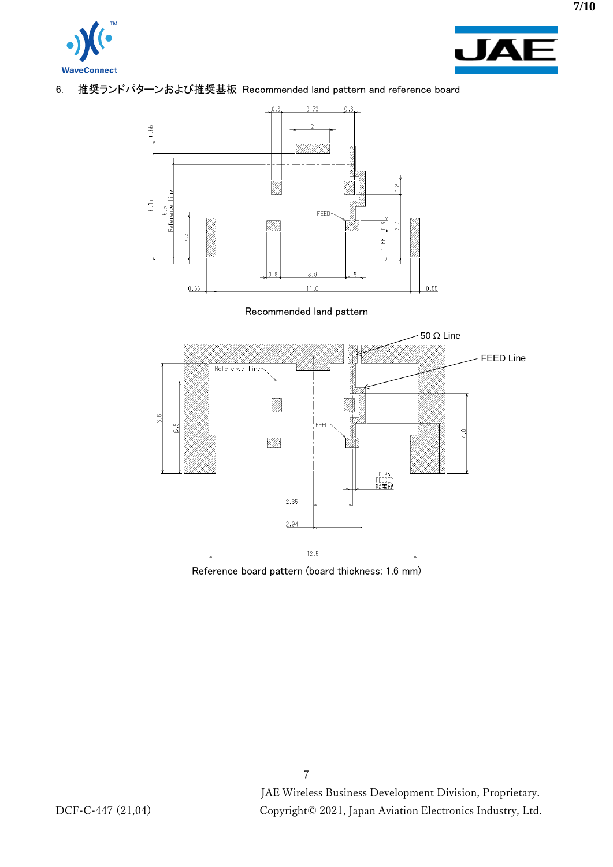



### 6. 推奨ランドパターンおよび推奨基板 Recommended land pattern and reference board



#### Recommended land pattern



Reference board pattern (board thickness: 1.6 mm)

**7/10**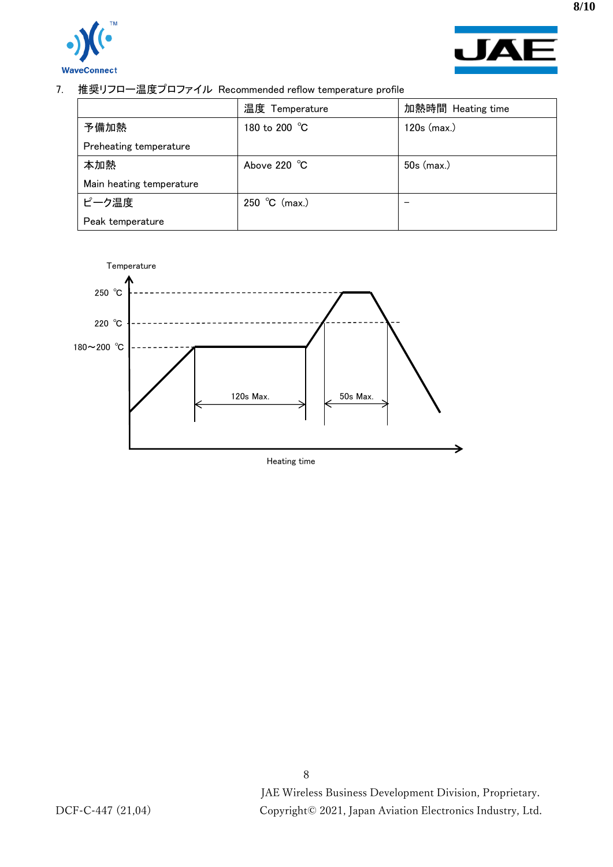



7. 推奨リフロー温度プロファイル Recommended reflow temperature profile

|                          | 温度 Temperature | 加熱時間 Heating time |
|--------------------------|----------------|-------------------|
| 予備加熱                     | 180 to 200 °C  | $120s$ (max.)     |
| Preheating temperature   |                |                   |
| 本加熱                      | Above 220 °C   | 50s (max.)        |
| Main heating temperature |                |                   |
| ピーク温度                    | 250 °C (max.)  |                   |
| Peak temperature         |                |                   |



**8/10**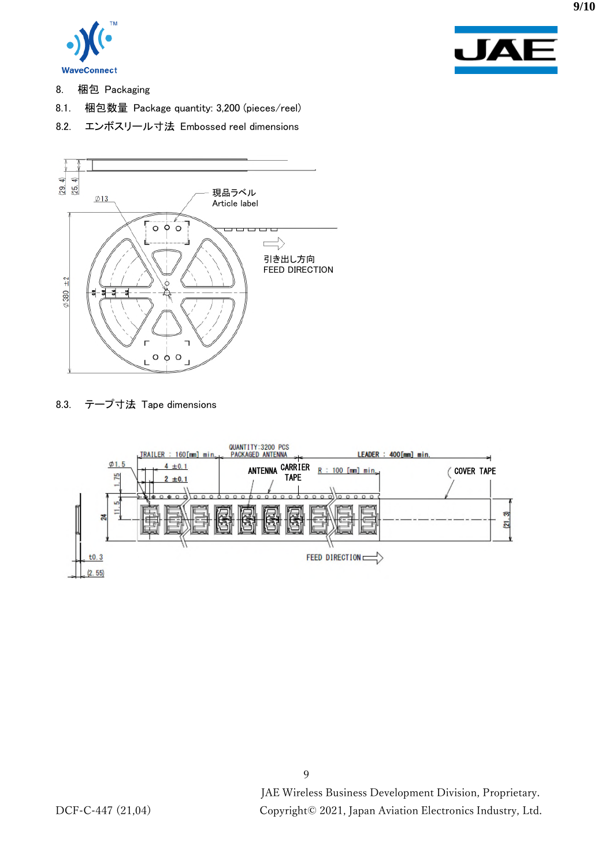



- 8. 梱包 Packaging
- 8.1. 梱包数量 Package quantity: 3,200 (pieces/reel)
- 8.2. エンボスリール寸法 Embossed reel dimensions



8.3. テープ寸法 Tape dimensions



9